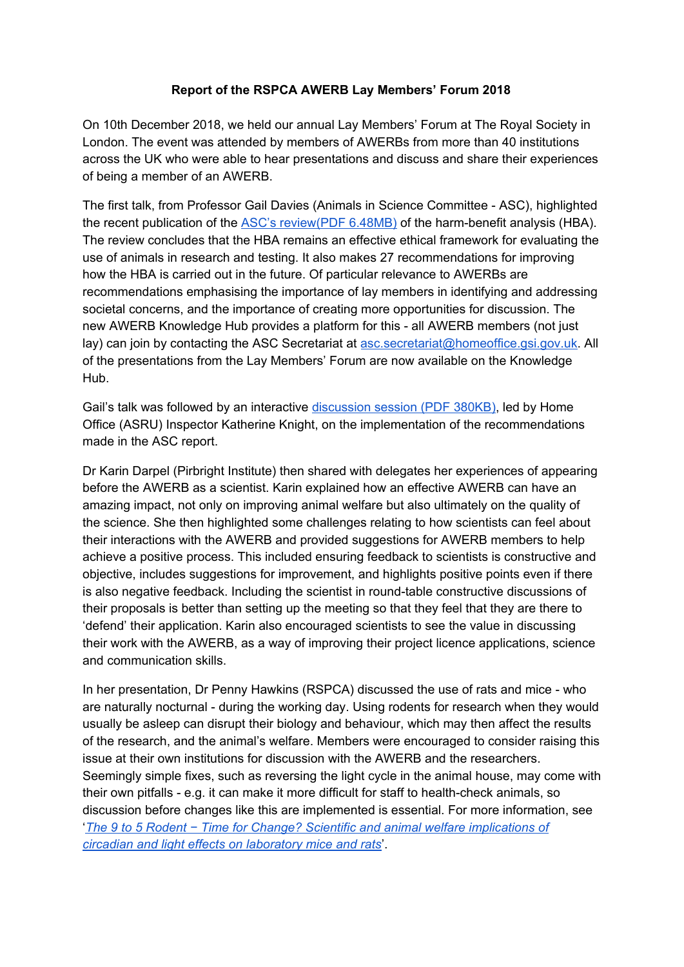## **Report of the RSPCA AWERB Lay Members' Forum 2018**

On 10th December 2018, we held our annual Lay Members' Forum at The Royal Society in London. The event was attended by members of AWERBs from more than 40 institutions across the UK who were able to hear presentations and discuss and share their experiences of being a member of an AWERB.

The first talk, from Professor Gail Davies (Animals in Science Committee - ASC), highlighted the recent publication of the **ASC's [review\(PDF](https://assets.publishing.service.gov.uk/government/uploads/system/uploads/attachment_data/file/675002/Review_of_harm_benefit_analysis_in_use_of_animals_18Jan18.pdf) 6.48MB)** of the harm-benefit analysis (HBA). The review concludes that the HBA remains an effective ethical framework for evaluating the use of animals in research and testing. It also makes 27 recommendations for improving how the HBA is carried out in the future. Of particular relevance to AWERBs are recommendations emphasising the importance of lay members in identifying and addressing societal concerns, and the importance of creating more opportunities for discussion. The new AWERB Knowledge Hub provides a platform for this - all AWERB members (not just lay) can join by contacting the ASC Secretariat at [asc.secretariat@homeoffice.gsi.gov.uk.](mailto:asc.secretariat@homeoffice.gsi.gov.uk) All of the presentations from the Lay Members' Forum are now available on the Knowledge Hub.

Gail's talk was followed by an interactive [discussion](https://www.rspca.org.uk/webContent/staticImages/Downloads/RADHarmbenefitDiscussionSession.pdf) session (PDF 380KB), led by Home Office (ASRU) Inspector Katherine Knight, on the implementation of the recommendations made in the ASC report.

Dr Karin Darpel (Pirbright Institute) then shared with delegates her experiences of appearing before the AWERB as a scientist. Karin explained how an effective AWERB can have an amazing impact, not only on improving animal welfare but also ultimately on the quality of the science. She then highlighted some challenges relating to how scientists can feel about their interactions with the AWERB and provided suggestions for AWERB members to help achieve a positive process. This included ensuring feedback to scientists is constructive and objective, includes suggestions for improvement, and highlights positive points even if there is also negative feedback. Including the scientist in round-table constructive discussions of their proposals is better than setting up the meeting so that they feel that they are there to 'defend' their application. Karin also encouraged scientists to see the value in discussing their work with the AWERB, as a way of improving their project licence applications, science and communication skills.

In her presentation, Dr Penny Hawkins (RSPCA) discussed the use of rats and mice - who are naturally nocturnal - during the working day. Using rodents for research when they would usually be asleep can disrupt their biology and behaviour, which may then affect the results of the research, and the animal's welfare. Members were encouraged to consider raising this issue at their own institutions for discussion with the AWERB and the researchers. Seemingly simple fixes, such as reversing the light cycle in the animal house, may come with their own pitfalls - e.g. it can make it more difficult for staff to health-check animals, so discussion before changes like this are implemented is essential. For more information, see '*The 9 to 5 Rodent − Time for Change? Scientific and animal welfare [implications](https://www.sciencedirect.com/science/article/pii/S0165027017301334) of circadian and light effects on [laboratory](https://www.sciencedirect.com/science/article/pii/S0165027017301334) mice and rats*'.